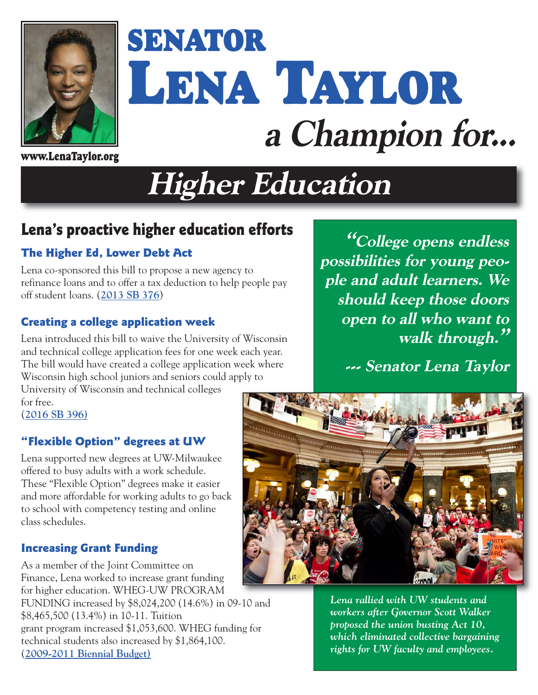

# **SENATOR LENA TAYLOR a Champion for...**

**www.LenaTaylor.org**

## **Higher Education**

## **Lena's proactive higher education efforts**

#### **The Higher Ed, Lower Debt Act**

Lena co-sponsored this bill to propose a new agency to refinance loans and to offer a tax deduction to help people pay off student loans. (**[2013 SB 376](http://docs.legis.wisconsin.gov/2013/proposals/SB376)**)

#### **Creating a college application week**

Lena introduced this bill to waive the University of Wisconsin and technical college application fees for one week each year. The bill would have created a college application week where Wisconsin high school juniors and seniors could apply to

University of Wisconsin and technical colleges for free.

(**[2016 SB 396\)](http://docs.legis.wisconsin.gov/2015/proposals/SB396)**

#### **"Flexible Option" degrees at UW**

Lena supported new degrees at UW-Milwaukee offered to busy adults with a work schedule. These "Flexible Option" degrees make it easier and more affordable for working adults to go back to school with competency testing and online class schedules.

#### **Increasing Grant Funding**

As a member of the Joint Committee on Finance, Lena worked to increase grant funding for higher education. WHEG-UW PROGRAM FUNDING increased by \$8,024,200 (14.6%) in 09-10 and \$8,465,500 (13.4%) in 10-11. Tuition grant program increased \$1,053,600. WHEG funding for technical students also increased by \$1,864,100. (**[2009-2011 Biennial Budget\)](http://docs.legis.wisconsin.gov/misc/lfb/budget/2009_11_biennial_budget/102_comparative_summary_of_budget_recommendations_volume_2_august_2009.pdf)**

**"College opens endless possibilities for young people and adult learners. We should keep those doors open to all who want to walk through."**

**--- Senator Lena Taylor** 



*Lena rallied with UW students and workers after Governor Scott Walker proposed the union busting Act 10, which eliminated collective bargaining rights for UW faculty and employees.*